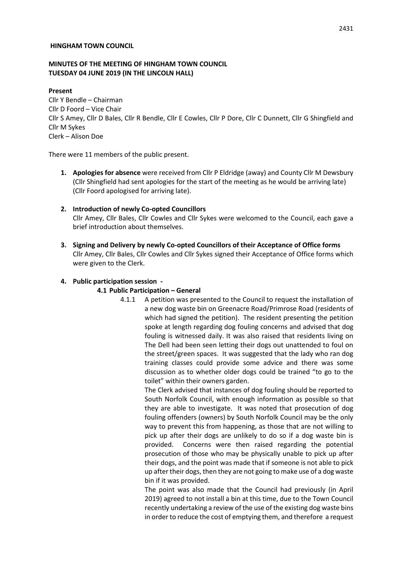#### **HINGHAM TOWN COUNCIL**

#### **MINUTES OF THE MEETING OF HINGHAM TOWN COUNCIL TUESDAY 04 JUNE 2019 (IN THE LINCOLN HALL)**

#### **Present**

Cllr Y Bendle – Chairman Cllr D Foord – Vice Chair Cllr S Amey, Cllr D Bales, Cllr R Bendle, Cllr E Cowles, Cllr P Dore, Cllr C Dunnett, Cllr G Shingfield and Cllr M Sykes Clerk – Alison Doe

There were 11 members of the public present.

**1. Apologies for absence** were received from Cllr P Eldridge (away) and County Cllr M Dewsbury (Cllr Shingfield had sent apologies for the start of the meeting as he would be arriving late) (Cllr Foord apologised for arriving late).

# **2. Introduction of newly Co-opted Councillors**

Cllr Amey, Cllr Bales, Cllr Cowles and Cllr Sykes were welcomed to the Council, each gave a brief introduction about themselves.

**3. Signing and Delivery by newly Co-opted Councillors of their Acceptance of Office forms** Cllr Amey, Cllr Bales, Cllr Cowles and Cllr Sykes signed their Acceptance of Office forms which were given to the Clerk.

#### **4. Public participation session -**

#### **4.1 Public Participation – General**

4.1.1 A petition was presented to the Council to request the installation of a new dog waste bin on Greenacre Road/Primrose Road (residents of which had signed the petition). The resident presenting the petition spoke at length regarding dog fouling concerns and advised that dog fouling is witnessed daily. It was also raised that residents living on The Dell had been seen letting their dogs out unattended to foul on the street/green spaces. It was suggested that the lady who ran dog training classes could provide some advice and there was some discussion as to whether older dogs could be trained "to go to the toilet" within their owners garden.

> The Clerk advised that instances of dog fouling should be reported to South Norfolk Council, with enough information as possible so that they are able to investigate. It was noted that prosecution of dog fouling offenders (owners) by South Norfolk Council may be the only way to prevent this from happening, as those that are not willing to pick up after their dogs are unlikely to do so if a dog waste bin is provided. Concerns were then raised regarding the potential prosecution of those who may be physically unable to pick up after their dogs, and the point was made that if someone is not able to pick up after their dogs, then they are not going to make use of a dog waste bin if it was provided.

> The point was also made that the Council had previously (in April 2019) agreed to not install a bin at this time, due to the Town Council recently undertaking a review of the use of the existing dog waste bins in order to reduce the cost of emptying them, and therefore a request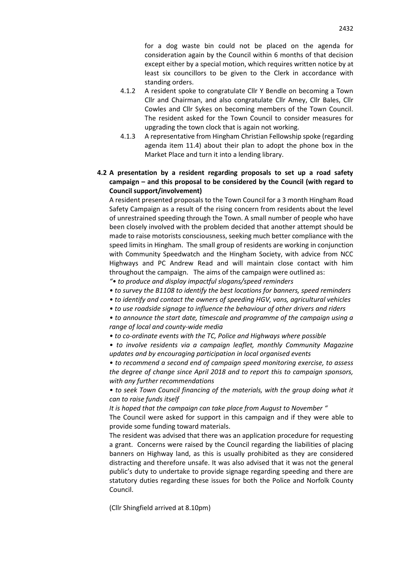for a dog waste bin could not be placed on the agenda for consideration again by the Council within 6 months of that decision except either by a special motion, which requires written notice by at least six councillors to be given to the Clerk in accordance with standing orders.

- 4.1.2 A resident spoke to congratulate Cllr Y Bendle on becoming a Town Cllr and Chairman, and also congratulate Cllr Amey, Cllr Bales, Cllr Cowles and Cllr Sykes on becoming members of the Town Council. The resident asked for the Town Council to consider measures for upgrading the town clock that is again not working.
- 4.1.3 A representative from Hingham Christian Fellowship spoke (regarding agenda item 11.4) about their plan to adopt the phone box in the Market Place and turn it into a lending library.

# **4.2 A presentation by a resident regarding proposals to set up a road safety campaign – and this proposal to be considered by the Council (with regard to Council support/involvement)**

A resident presented proposals to the Town Council for a 3 month Hingham Road Safety Campaign as a result of the rising concern from residents about the level of unrestrained speeding through the Town. A small number of people who have been closely involved with the problem decided that another attempt should be made to raise motorists consciousness, seeking much better compliance with the speed limits in Hingham. The small group of residents are working in conjunction with Community Speedwatch and the Hingham Society, with advice from NCC Highways and PC Andrew Read and will maintain close contact with him throughout the campaign. The aims of the campaign were outlined as:

*"• to produce and display impactful slogans/speed reminders*

- *to survey the B1108 to identify the best locations for banners, speed reminders*
- *to identify and contact the owners of speeding HGV, vans, agricultural vehicles*
- *to use roadside signage to influence the behaviour of other drivers and riders*

*• to announce the start date, timescale and programme of the campaign using a range of local and county-wide media*

*• to co-ordinate events with the TC, Police and Highways where possible*

*• to involve residents via a campaign leaflet, monthly Community Magazine updates and by encouraging participation in local organised events*

*• to recommend a second end of campaign speed monitoring exercise, to assess the degree of change since April 2018 and to report this to campaign sponsors, with any further recommendations*

*• to seek Town Council financing of the materials, with the group doing what it can to raise funds itself*

*It is hoped that the campaign can take place from August to November "*

The Council were asked for support in this campaign and if they were able to provide some funding toward materials.

The resident was advised that there was an application procedure for requesting a grant. Concerns were raised by the Council regarding the liabilities of placing banners on Highway land, as this is usually prohibited as they are considered distracting and therefore unsafe. It was also advised that it was not the general public's duty to undertake to provide signage regarding speeding and there are statutory duties regarding these issues for both the Police and Norfolk County Council.

(Cllr Shingfield arrived at 8.10pm)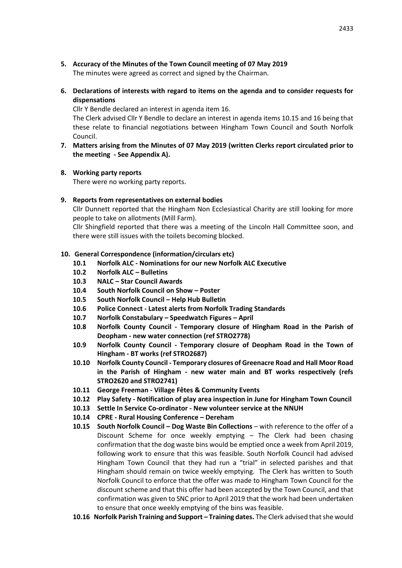- **5. Accuracy of the Minutes of the Town Council meeting of 07 May 2019** The minutes were agreed as correct and signed by the Chairman.
- **6. Declarations of interests with regard to items on the agenda and to consider requests for dispensations**

Cllr Y Bendle declared an interest in agenda item 16.

The Clerk advised Cllr Y Bendle to declare an interest in agenda items 10.15 and 16 being that these relate to financial negotiations between Hingham Town Council and South Norfolk Council.

- **7. Matters arising from the Minutes of 07 May 2019 (written Clerks report circulated prior to the meeting - See Appendix A).**
- **8. Working party reports**

There were no working party reports.

**9. Reports from representatives on external bodies**

Cllr Dunnett reported that the Hingham Non Ecclesiastical Charity are still looking for more people to take on allotments (Mill Farm).

Cllr Shingfield reported that there was a meeting of the Lincoln Hall Committee soon, and there were still issues with the toilets becoming blocked.

# **10. General Correspondence (information/circulars etc)**

- **10.1 Norfolk ALC - Nominations for our new Norfolk ALC Executive**
- **10.2 Norfolk ALC – Bulletins**
- **10.3 NALC – Star Council Awards**
- **10.4 South Norfolk Council on Show – Poster**
- **10.5 South Norfolk Council – Help Hub Bulletin**
- **10.6 Police Connect - Latest alerts from Norfolk Trading Standards**
- **10.7 Norfolk Constabulary – Speedwatch Figures – April**
- **10.8 Norfolk County Council - Temporary closure of Hingham Road in the Parish of Deopham - new water connection (ref STRO2778)**
- **10.9 Norfolk County Council - Temporary closure of Deopham Road in the Town of Hingham - BT works (ref STRO2687)**
- **10.10 Norfolk County Council - Temporary closures of Greenacre Road and Hall Moor Road in the Parish of Hingham - new water main and BT works respectively (refs STRO2620 and STRO2741)**
- **10.11 George Freeman - Village Fêtes & Community Events**
- **10.12 Play Safety - Notification of play area inspection in June for Hingham Town Council**
- **10.13 Settle In Service Co-ordinator - New volunteer service at the NNUH**
- **10.14 CPRE - Rural Housing Conference – Dereham**
- **10.15 South Norfolk Council – Dog Waste Bin Collections** with reference to the offer of a Discount Scheme for once weekly emptying – The Clerk had been chasing confirmation that the dog waste bins would be emptied once a week from April 2019, following work to ensure that this was feasible. South Norfolk Council had advised Hingham Town Council that they had run a "trial" in selected parishes and that Hingham should remain on twice weekly emptying. The Clerk has written to South Norfolk Council to enforce that the offer was made to Hingham Town Council for the discount scheme and that this offer had been accepted by the Town Council, and that confirmation was given to SNC prior to April 2019 that the work had been undertaken to ensure that once weekly emptying of the bins was feasible.
- **10.16 Norfolk Parish Training and Support – Training dates.** The Clerk advised that she would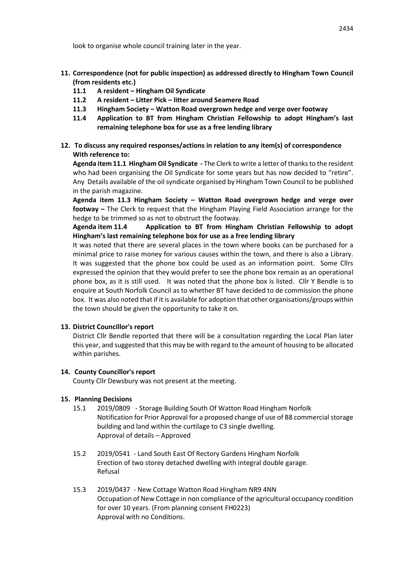look to organise whole council training later in the year.

- **11. Correspondence (not for public inspection) as addressed directly to Hingham Town Council (from residents etc.)**
	- **11.1 A resident – Hingham Oil Syndicate**
	- **11.2 A resident – Litter Pick – litter around Seamere Road**
	- **11.3 Hingham Society – Watton Road overgrown hedge and verge over footway**
	- **11.4 Application to BT from Hingham Christian Fellowship to adopt Hingham's last remaining telephone box for use as a free lending library**
- **12. To discuss any required responses/actions in relation to any item(s) of correspondence With reference to:**

**Agenda item 11.1 Hingham Oil Syndicate -** The Clerk to write a letter of thanks to the resident who had been organising the Oil Syndicate for some years but has now decided to "retire". Any Details available of the oil syndicate organised by Hingham Town Council to be published in the parish magazine.

**Agenda item 11.3 Hingham Society – Watton Road overgrown hedge and verge over footway –** The Clerk to request that the Hingham Playing Field Association arrange for the hedge to be trimmed so as not to obstruct the footway.

**Agenda item 11.4 Application to BT from Hingham Christian Fellowship to adopt Hingham's last remaining telephone box for use as a free lending library**

It was noted that there are several places in the town where books can be purchased for a minimal price to raise money for various causes within the town, and there is also a Library. It was suggested that the phone box could be used as an information point. Some Cllrs expressed the opinion that they would prefer to see the phone box remain as an operational phone box, as it is still used. It was noted that the phone box is listed. Cllr Y Bendle is to enquire at South Norfolk Council as to whether BT have decided to de commission the phone box. It was also noted that if it is available for adoption that other organisations/groups within the town should be given the opportunity to take it on.

# **13. District Councillor's report**

District Cllr Bendle reported that there will be a consultation regarding the Local Plan later this year, and suggested that this may be with regard to the amount of housing to be allocated within parishes.

# **14. County Councillor's report**

County Cllr Dewsbury was not present at the meeting.

# **15. Planning Decisions**

- 15.1 2019/0809 Storage Building South Of Watton Road Hingham Norfolk Notification for Prior Approval for a proposed change of use of B8 commercial storage building and land within the curtilage to C3 single dwelling. Approval of details – Approved
- 15.2 2019/0541 Land South East Of Rectory Gardens Hingham Norfolk Erection of two storey detached dwelling with integral double garage. Refusal
- 15.3 2019/0437 New Cottage Watton Road Hingham NR9 4NN Occupation of New Cottage in non compliance of the agricultural occupancy condition for over 10 years. (From planning consent FH0223) Approval with no Conditions.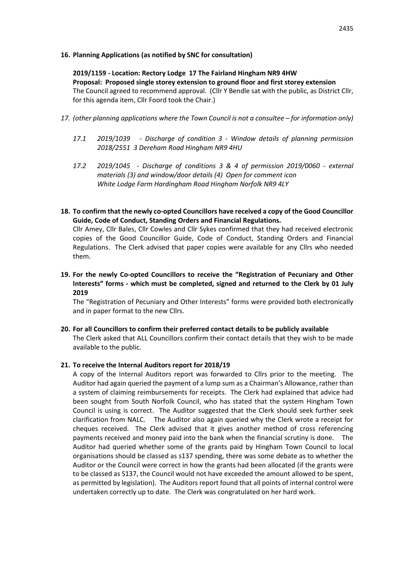#### **16. Planning Applications (as notified by SNC for consultation)**

# **2019/1159 - Location: Rectory Lodge 17 The Fairland Hingham NR9 4HW**

**Proposal: Proposed single storey extension to ground floor and first storey extension** The Council agreed to recommend approval. (Cllr Y Bendle sat with the public, as District Cllr, for this agenda item, Cllr Foord took the Chair.)

- 17. *(other planning applications where the Town Council is not a consultee for information only)* 
	- *17.1 2019/1039 - Discharge of condition 3 - Window details of planning permission 2018/2551 3 Dereham Road Hingham NR9 4HU*
	- *17.2 2019/1045 - Discharge of conditions 3 & 4 of permission 2019/0060 - external materials (3) and window/door details (4) Open for comment icon White Lodge Farm Hardingham Road Hingham Norfolk NR9 4LY*
- **18. To confirm that the newly co-opted Councillors have received a copy of the Good Councillor Guide, Code of Conduct, Standing Orders and Financial Regulations.**

Cllr Amey, Cllr Bales, Cllr Cowles and Cllr Sykes confirmed that they had received electronic copies of the Good Councillor Guide, Code of Conduct, Standing Orders and Financial Regulations. The Clerk advised that paper copies were available for any Cllrs who needed them.

**19. For the newly Co-opted Councillors to receive the "Registration of Pecuniary and Other Interests" forms - which must be completed, signed and returned to the Clerk by 01 July 2019**

The "Registration of Pecuniary and Other Interests" forms were provided both electronically and in paper format to the new Cllrs.

**20. For all Councillors to confirm their preferred contact details to be publicly available**  The Clerk asked that ALL Councillors confirm their contact details that they wish to be made available to the public.

#### **21. To receive the Internal Auditors report for 2018/19**

A copy of the Internal Auditors report was forwarded to Cllrs prior to the meeting. The Auditor had again queried the payment of a lump sum as a Chairman's Allowance, rather than a system of claiming reimbursements for receipts. The Clerk had explained that advice had been sought from South Norfolk Council, who has stated that the system Hingham Town Council is using is correct. The Auditor suggested that the Clerk should seek further seek clarification from NALC. The Auditor also again queried why the Clerk wrote a receipt for cheques received. The Clerk advised that it gives another method of cross referencing payments received and money paid into the bank when the financial scrutiny is done. The Auditor had queried whether some of the grants paid by Hingham Town Council to local organisations should be classed as s137 spending, there was some debate as to whether the Auditor or the Council were correct in how the grants had been allocated (if the grants were to be classed as S137, the Council would not have exceeded the amount allowed to be spent, as permitted by legislation). The Auditors report found that all points of internal control were undertaken correctly up to date. The Clerk was congratulated on her hard work.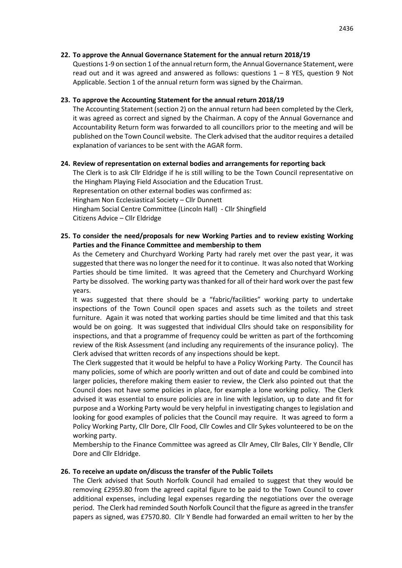# **22. To approve the Annual Governance Statement for the annual return 2018/19**

Questions 1-9 on section 1 of the annual return form, the Annual Governance Statement, were read out and it was agreed and answered as follows: questions  $1 - 8$  YES, question 9 Not Applicable. Section 1 of the annual return form was signed by the Chairman.

# **23. To approve the Accounting Statement for the annual return 2018/19**

The Accounting Statement (section 2) on the annual return had been completed by the Clerk, it was agreed as correct and signed by the Chairman. A copy of the Annual Governance and Accountability Return form was forwarded to all councillors prior to the meeting and will be published on the Town Council website. The Clerk advised that the auditor requires a detailed explanation of variances to be sent with the AGAR form.

# **24. Review of representation on external bodies and arrangements for reporting back**

The Clerk is to ask Cllr Eldridge if he is still willing to be the Town Council representative on the Hingham Playing Field Association and the Education Trust. Representation on other external bodies was confirmed as: Hingham Non Ecclesiastical Society – Cllr Dunnett Hingham Social Centre Committee (Lincoln Hall) - Cllr Shingfield Citizens Advice – Cllr Eldridge

# **25. To consider the need/proposals for new Working Parties and to review existing Working Parties and the Finance Committee and membership to them**

As the Cemetery and Churchyard Working Party had rarely met over the past year, it was suggested that there was no longer the need for it to continue. It was also noted that Working Parties should be time limited. It was agreed that the Cemetery and Churchyard Working Party be dissolved. The working party was thanked for all of their hard work over the past few years.

It was suggested that there should be a "fabric/facilities" working party to undertake inspections of the Town Council open spaces and assets such as the toilets and street furniture. Again it was noted that working parties should be time limited and that this task would be on going. It was suggested that individual Cllrs should take on responsibility for inspections, and that a programme of frequency could be written as part of the forthcoming review of the Risk Assessment (and including any requirements of the insurance policy). The Clerk advised that written records of any inspections should be kept.

The Clerk suggested that it would be helpful to have a Policy Working Party. The Council has many policies, some of which are poorly written and out of date and could be combined into larger policies, therefore making them easier to review, the Clerk also pointed out that the Council does not have some policies in place, for example a lone working policy. The Clerk advised it was essential to ensure policies are in line with legislation, up to date and fit for purpose and a Working Party would be very helpful in investigating changes to legislation and looking for good examples of policies that the Council may require. It was agreed to form a Policy Working Party, Cllr Dore, Cllr Food, Cllr Cowles and Cllr Sykes volunteered to be on the working party.

Membership to the Finance Committee was agreed as Cllr Amey, Cllr Bales, Cllr Y Bendle, Cllr Dore and Cllr Eldridge.

# **26. To receive an update on/discuss the transfer of the Public Toilets**

The Clerk advised that South Norfolk Council had emailed to suggest that they would be removing £2959.80 from the agreed capital figure to be paid to the Town Council to cover additional expenses, including legal expenses regarding the negotiations over the overage period. The Clerk had reminded South Norfolk Council that the figure as agreed in the transfer papers as signed, was £7570.80. Cllr Y Bendle had forwarded an email written to her by the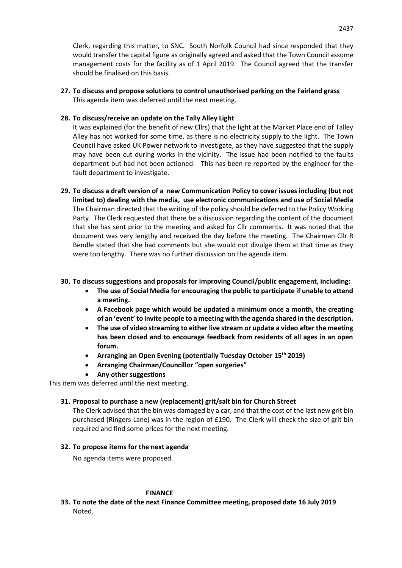Clerk, regarding this matter, to SNC. South Norfolk Council had since responded that they would transfer the capital figure as originally agreed and asked that the Town Council assume management costs for the facility as of 1 April 2019. The Council agreed that the transfer should be finalised on this basis.

**27. To discuss and propose solutions to control unauthorised parking on the Fairland grass** This agenda item was deferred until the next meeting.

# **28. To discuss/receive an update on the Tally Alley Light**

It was explained (for the benefit of new Cllrs) that the light at the Market Place end of Talley Alley has not worked for some time, as there is no electricity supply to the light. The Town Council have asked UK Power network to investigate, as they have suggested that the supply may have been cut during works in the vicinity. The issue had been notified to the faults department but had not been actioned. This has been re reported by the engineer for the fault department to investigate.

**29. To discuss a draft version of a new Communication Policy to cover issues including (but not limited to) dealing with the media, use electronic communications and use of Social Media** The Chairman directed that the writing of the policy should be deferred to the Policy Working Party. The Clerk requested that there be a discussion regarding the content of the document that she has sent prior to the meeting and asked for Cllr comments. It was noted that the document was very lengthy and received the day before the meeting. The Chairman Cllr R Bendle stated that she had comments but she would not divulge them at that time as they were too lengthy. There was no further discussion on the agenda item.

# **30. To discuss suggestions and proposals for improving Council/public engagement, including:**

- **The use of Social Media for encouraging the public to participate if unable to attend a meeting.**
- **A Facebook page which would be updated a minimum once a month, the creating of an 'event' to invite people to a meeting with the agenda shared in the description.**
- **The use of video streaming to either live stream or update a video after the meeting has been closed and to encourage feedback from residents of all ages in an open forum.**
- **Arranging an Open Evening (potentially Tuesday October 15th 2019)**
- **Arranging Chairman/Councillor "open surgeries"**
- **Any other suggestions**

This item was deferred until the next meeting.

#### **31. Proposal to purchase a new (replacement) grit/salt bin for Church Street**

The Clerk advised that the bin was damaged by a car, and that the cost of the last new grit bin purchased (Ringers Lane) was in the region of £190. The Clerk will check the size of grit bin required and find some prices for the next meeting.

#### **32. To propose items for the next agenda**

No agenda items were proposed.

#### **FINANCE**

**33. To note the date of the next Finance Committee meeting, proposed date 16 July 2019** Noted.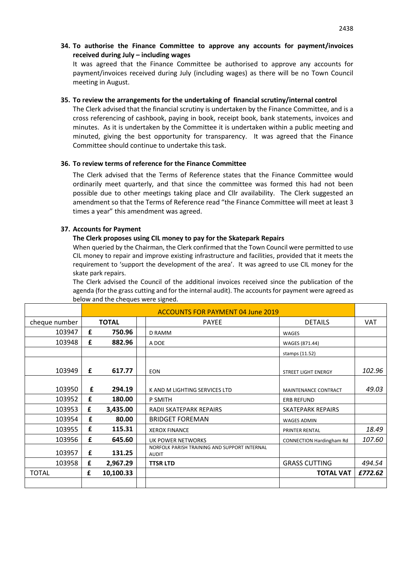**34. To authorise the Finance Committee to approve any accounts for payment/invoices received during July – including wages**

It was agreed that the Finance Committee be authorised to approve any accounts for payment/invoices received during July (including wages) as there will be no Town Council meeting in August.

#### **35. To review the arrangements for the undertaking of financial scrutiny/internal control**

The Clerk advised that the financial scrutiny is undertaken by the Finance Committee, and is a cross referencing of cashbook, paying in book, receipt book, bank statements, invoices and minutes. As it is undertaken by the Committee it is undertaken within a public meeting and minuted, giving the best opportunity for transparency. It was agreed that the Finance Committee should continue to undertake this task.

#### **36. To review terms of reference for the Finance Committee**

The Clerk advised that the Terms of Reference states that the Finance Committee would ordinarily meet quarterly, and that since the committee was formed this had not been possible due to other meetings taking place and Cllr availability. The Clerk suggested an amendment so that the Terms of Reference read "the Finance Committee will meet at least 3 times a year" this amendment was agreed.

#### **37. Accounts for Payment**

#### **The Clerk proposes using CIL money to pay for the Skatepark Repairs**

When queried by the Chairman, the Clerk confirmed that the Town Council were permitted to use CIL money to repair and improve existing infrastructure and facilities, provided that it meets the requirement to 'support the development of the area'. It was agreed to use CIL money for the skate park repairs.

The Clerk advised the Council of the additional invoices received since the publication of the agenda (for the grass cutting and for the internal audit). The accounts for payment were agreed as below and the cheques were signed.

|               |   | <b>ACCOUNTS FOR PAYMENT 04 June 2019</b> |                                                              |                             |            |
|---------------|---|------------------------------------------|--------------------------------------------------------------|-----------------------------|------------|
| cheque number |   | <b>TOTAL</b>                             | <b>PAYEE</b>                                                 | <b>DETAILS</b>              | <b>VAT</b> |
| 103947        | £ | 750.96                                   | D RAMM                                                       | <b>WAGES</b>                |            |
| 103948        | £ | 882.96                                   | A DOE                                                        | WAGES (871.44)              |            |
|               |   |                                          |                                                              | stamps (11.52)              |            |
| 103949        | £ | 617.77                                   | <b>EON</b>                                                   | <b>STREET LIGHT ENERGY</b>  | 102.96     |
| 103950        | £ | 294.19                                   | K AND M LIGHTING SERVICES LTD                                | <b>MAINTENANCE CONTRACT</b> | 49.03      |
| 103952        | £ | 180.00                                   | P SMITH                                                      | <b>ERB REFUND</b>           |            |
| 103953        | £ | 3,435.00                                 | RADII SKATEPARK REPAIRS                                      | <b>SKATEPARK REPAIRS</b>    |            |
| 103954        | £ | 80.00                                    | <b>BRIDGET FOREMAN</b>                                       | <b>WAGES ADMIN</b>          |            |
| 103955        | £ | 115.31                                   | <b>XEROX FINANCE</b>                                         | PRINTER RENTAL              | 18.49      |
| 103956        | £ | 645.60                                   | UK POWER NETWORKS                                            | CONNECTION Hardingham Rd    | 107.60     |
| 103957        | £ | 131.25                                   | NORFOLK PARISH TRAINING AND SUPPORT INTERNAL<br><b>AUDIT</b> |                             |            |
| 103958        | £ | 2,967.29                                 | <b>TTSR LTD</b>                                              | <b>GRASS CUTTING</b>        | 494.54     |
| <b>TOTAL</b>  | £ | 10,100.33                                |                                                              | <b>TOTAL VAT</b>            | £772.62    |
|               |   |                                          |                                                              |                             |            |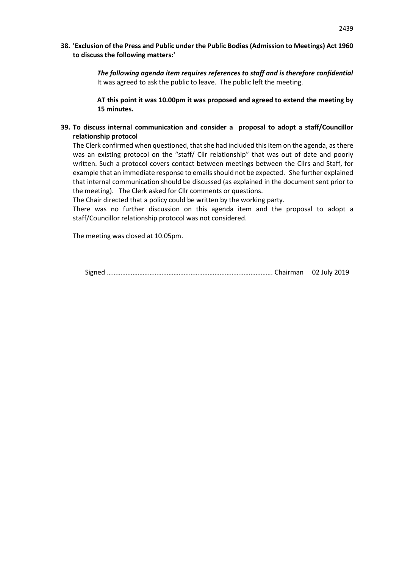# **38. 'Exclusion of the Press and Public under the Public Bodies (Admission to Meetings) Act 1960 to discuss the following matters:'**

*The following agenda item requires references to staff and is therefore confidential* It was agreed to ask the public to leave. The public left the meeting.

**AT this point it was 10.00pm it was proposed and agreed to extend the meeting by 15 minutes.**

# **39. To discuss internal communication and consider a proposal to adopt a staff/Councillor relationship protocol**

The Clerk confirmed when questioned, that she had included this item on the agenda, as there was an existing protocol on the "staff/ Cllr relationship" that was out of date and poorly written. Such a protocol covers contact between meetings between the Cllrs and Staff, for example that an immediate response to emails should not be expected. She further explained that internal communication should be discussed (as explained in the document sent prior to the meeting). The Clerk asked for Cllr comments or questions.

The Chair directed that a policy could be written by the working party.

There was no further discussion on this agenda item and the proposal to adopt a staff/Councillor relationship protocol was not considered.

The meeting was closed at 10.05pm.

Signed ……………………………………………………………………………………. Chairman 02 July 2019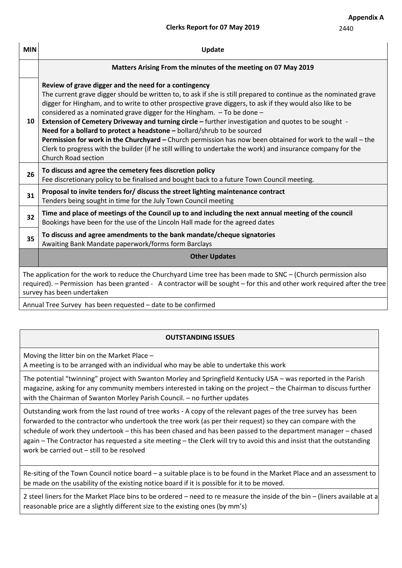|     | <b>Clerks Report for 07 May 2019</b>                                                                                                                                                                                                                                                                                                                                                                                                                                                                                                                                                                                                                                                                                                                                                                                | 2440 |  |  |
|-----|---------------------------------------------------------------------------------------------------------------------------------------------------------------------------------------------------------------------------------------------------------------------------------------------------------------------------------------------------------------------------------------------------------------------------------------------------------------------------------------------------------------------------------------------------------------------------------------------------------------------------------------------------------------------------------------------------------------------------------------------------------------------------------------------------------------------|------|--|--|
| MIN | Update                                                                                                                                                                                                                                                                                                                                                                                                                                                                                                                                                                                                                                                                                                                                                                                                              |      |  |  |
|     | Matters Arising From the minutes of the meeting on 07 May 2019                                                                                                                                                                                                                                                                                                                                                                                                                                                                                                                                                                                                                                                                                                                                                      |      |  |  |
| 10  | Review of grave digger and the need for a contingency<br>The current grave digger should be written to, to ask if she is still prepared to continue as the nominated grave<br>digger for Hingham, and to write to other prospective grave diggers, to ask if they would also like to be<br>considered as a nominated grave digger for the Hingham. $-$ To be done $-$<br><b>Extension of Cemetery Driveway and turning circle –</b> further investigation and quotes to be sought -<br>Need for a bollard to protect a headstone - bollard/shrub to be sourced<br>Permission for work in the Churchyard – Church permission has now been obtained for work to the wall – the<br>Clerk to progress with the builder (if he still willing to undertake the work) and insurance company for the<br>Church Road section |      |  |  |
| 26  | To discuss and agree the cemetery fees discretion policy<br>Fee discretionary policy to be finalised and bought back to a future Town Council meeting.                                                                                                                                                                                                                                                                                                                                                                                                                                                                                                                                                                                                                                                              |      |  |  |
|     | Barra na kata katika kata daga faaf dheeree kha akan ek Rabitan an shekara na na na matan                                                                                                                                                                                                                                                                                                                                                                                                                                                                                                                                                                                                                                                                                                                           |      |  |  |

Fee discretionary policy to be **<sup>31</sup> Proposal to invite tenders for/ discuss the street lighting maintenance contract**

Tenders being sought in time for the July Town Council meeting

**32 Time and place of meetings of the Council up to and including the next annual meeting of the council** Bookings have been for the use of the Lincoln Hall made for the agreed dates

**<sup>35</sup> To discuss and agree amendments to the bank mandate/cheque signatories**

Awaiting Bank Mandate paperwork/forms form Barclays

**Other Updates**

The application for the work to reduce the Churchyard Lime tree has been made to SNC – (Church permission also required). – Permission has been granted - A contractor will be sought – for this and other work required after the tree survey has been undertaken

Annual Tree Survey has been requested – date to be confirmed

# **OUTSTANDING ISSUES**

Moving the litter bin on the Market Place –

A meeting is to be arranged with an individual who may be able to undertake this work

The potential "twinning" project with Swanton Morley and Springfield Kentucky USA – was reported in the Parish magazine, asking for any community members interested in taking on the project – the Chairman to discuss further with the Chairman of Swanton Morley Parish Council. – no further updates

Outstanding work from the last round of tree works - A copy of the relevant pages of the tree survey has been forwarded to the contractor who undertook the tree work (as per their request) so they can compare with the schedule of work they undertook – this has been chased and has been passed to the department manager – chased again – The Contractor has requested a site meeting – the Clerk will try to avoid this and insist that the outstanding work be carried out – still to be resolved

Re-siting of the Town Council notice board – a suitable place is to be found in the Market Place and an assessment to be made on the usability of the existing notice board if it is possible for it to be moved.

2 steel liners for the Market Place bins to be ordered – need to re measure the inside of the bin – (liners available at a reasonable price are a slightly different size to the existing ones (by mm's)